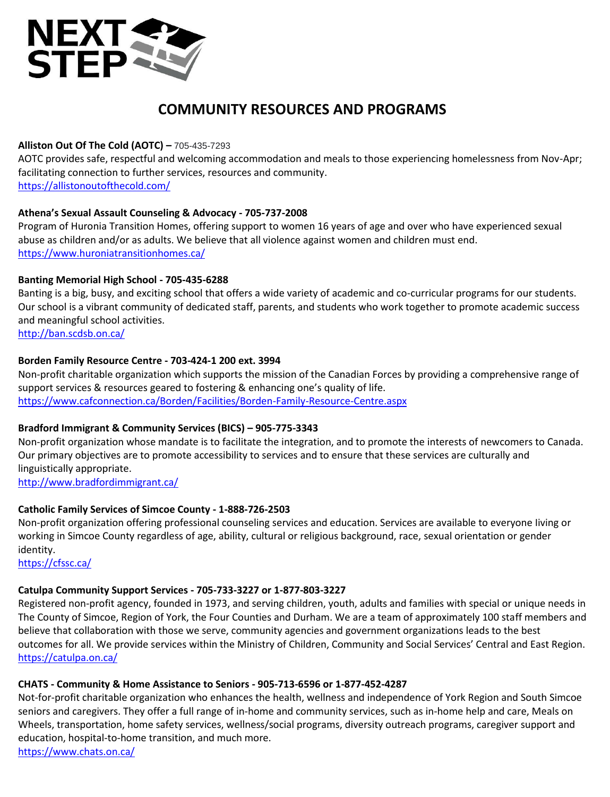

# **COMMUNITY RESOURCES AND PROGRAMS**

## **Alliston Out Of The Cold (AOTC) –** 705-435-7293

AOTC provides safe, respectful and welcoming accommodation and meals to those experiencing homelessness from Nov-Apr; facilitating connection to further services, resources and community. <https://allistonoutofthecold.com/>

#### **Athena's Sexual Assault Counseling & Advocacy - 705-737-2008**

Program of Huronia Transition Homes, offering support to women 16 years of age and over who have experienced sexual abuse as children and/or as adults. We believe that all violence against women and children must end. <https://www.huroniatransitionhomes.ca/>

#### **Banting Memorial High School - 705-435-6288**

Banting is a big, busy, and exciting school that offers a wide variety of academic and co-curricular programs for our students. Our school is a vibrant community of dedicated staff, parents, and students who work together to promote academic success and meaningful school activities.

<http://ban.scdsb.on.ca/>

#### **Borden Family Resource Centre - 703-424-1 200 ext. 3994**

Non-profit charitable organization which supports the mission of the Canadian Forces by providing a comprehensive range of support services & resources geared to fostering & enhancing one's quality of life. <https://www.cafconnection.ca/Borden/Facilities/Borden-Family-Resource-Centre.aspx>

#### **Bradford Immigrant & Community Services (BICS) – 905-775-3343**

Non-profit organization whose mandate is to facilitate the integration, and to promote the interests of newcomers to Canada. Our primary objectives are to promote accessibility to services and to ensure that these services are culturally and linguistically appropriate.

<http://www.bradfordimmigrant.ca/>

#### **Catholic Family Services of Simcoe County - 1-888-726-2503**

Non-profit organization offering professional counseling services and education. Services are available to everyone Iiving or working in Simcoe County regardless of age, ability, cultural or religious background, race, sexual orientation or gender identity.

<https://cfssc.ca/>

# **Catulpa Community Support Services - 705-733-3227 or 1-877-803-3227**

Registered non-profit agency, founded in 1973, and serving children, youth, adults and families with special or unique needs in The County of Simcoe, Region of York, the Four Counties and Durham. We are a team of approximately 100 staff members and believe that collaboration with those we serve, community agencies and government organizations leads to the best outcomes for all. We provide services within the Ministry of Children, Community and Social Services' Central and East Region. <https://catulpa.on.ca/>

# **CHATS - Community & Home Assistance to Seniors - 905-713-6596 or 1-877-452-4287**

Not-for-profit charitable organization who enhances the health, wellness and independence of York Region and South Simcoe seniors and caregivers. They offer a full range of in-home and community services, such as in-home help and care, Meals on Wheels, transportation, home safety services, wellness/social programs, diversity outreach programs, caregiver support and education, hospital-to-home transition, and much more.

<https://www.chats.on.ca/>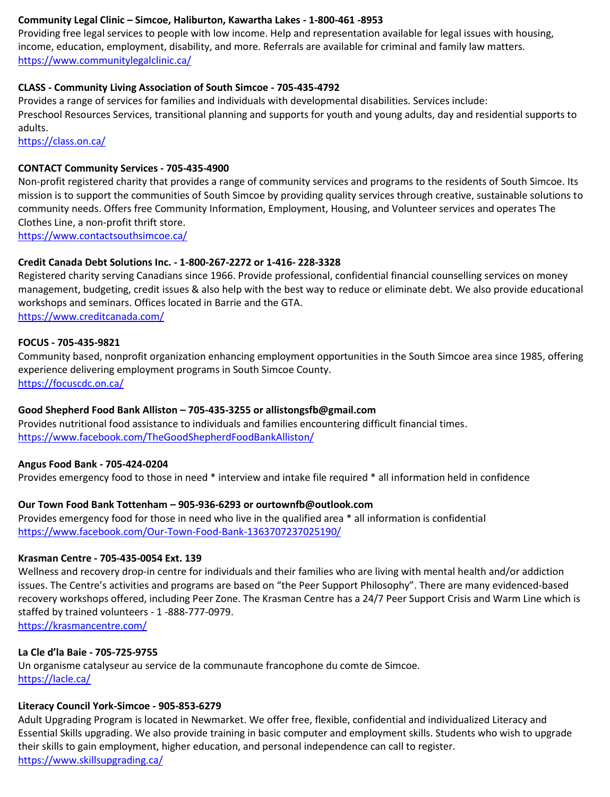# **Community Legal Clinic – Simcoe, Haliburton, Kawartha Lakes - 1-800-461 -8953**

Providing free legal services to people with low income. Help and representation available for legal issues with housing, income, education, employment, disability, and more. Referrals are available for criminal and family law matters. <https://www.communitylegalclinic.ca/>

#### **CLASS - Community Living Association of South Simcoe - 705-435-4792**

Provides a range of services for families and individuals with developmental disabilities. Services include: Preschool Resources Services, transitional planning and supports for youth and young adults, day and residential supports to adults.

<https://class.on.ca/>

#### **CONTACT Community Services - 705-435-4900**

Non-profit registered charity that provides a range of community services and programs to the residents of South Simcoe. Its mission is to support the communities of South Simcoe by providing quality services through creative, sustainable solutions to community needs. Offers free Community Information, Employment, Housing, and Volunteer services and operates The Clothes Line, a non-profit thrift store.

<https://www.contactsouthsimcoe.ca/>

#### **Credit Canada Debt Solutions Inc. - 1-800-267-2272 or 1-416- 228-3328**

Registered charity serving Canadians since 1966. Provide professional, confidential financial counselling services on money management, budgeting, credit issues & also help with the best way to reduce or eliminate debt. We also provide educational workshops and seminars. Offices located in Barrie and the GTA. <https://www.creditcanada.com/>

#### **FOCUS - 705-435-9821**

Community based, nonprofit organization enhancing employment opportunities in the South Simcoe area since 1985, offering experience delivering employment programs in South Simcoe County. <https://focuscdc.on.ca/>

# **Good Shepherd Food Bank Alliston – 705-435-3255 or allistongsfb@gmail.com**

Provides nutritional food assistance to individuals and families encountering difficult financial times. <https://www.facebook.com/TheGoodShepherdFoodBankAlliston/>

#### **Angus Food Bank - 705-424-0204**

Provides emergency food to those in need \* interview and intake file required \* all information held in confidence

# **Our Town Food Bank Tottenham – 905-936-6293 o[r ourtownfb@outlook.com](mailto:ourtownfb@outlook.com)**

Provides emergency food for those in need who live in the qualified area \* all information is confidential <https://www.facebook.com/Our-Town-Food-Bank-1363707237025190/>

#### **Krasman Centre - 705-435-0054 Ext. 139**

Wellness and recovery drop-in centre for individuals and their families who are living with mental health and/or addiction issues. The Centre's activities and programs are based on "the Peer Support Philosophy". There are many evidenced-based recovery workshops offered, including Peer Zone. The Krasman Centre has a 24/7 Peer Support Crisis and Warm Line which is staffed by trained volunteers - 1 -888-777-0979.

<https://krasmancentre.com/>

#### **La Cle d'la Baie - 705-725-9755**

Un organisme catalyseur au service de la communaute francophone du comte de Simcoe. <https://lacle.ca/>

#### **Literacy Council York-Simcoe - 905-853-6279**

Adult Upgrading Program is located in Newmarket. We offer free, flexible, confidential and individualized Literacy and Essential Skills upgrading. We also provide training in basic computer and employment skills. Students who wish to upgrade their skills to gain employment, higher education, and personal independence can call to register. <https://www.skillsupgrading.ca/>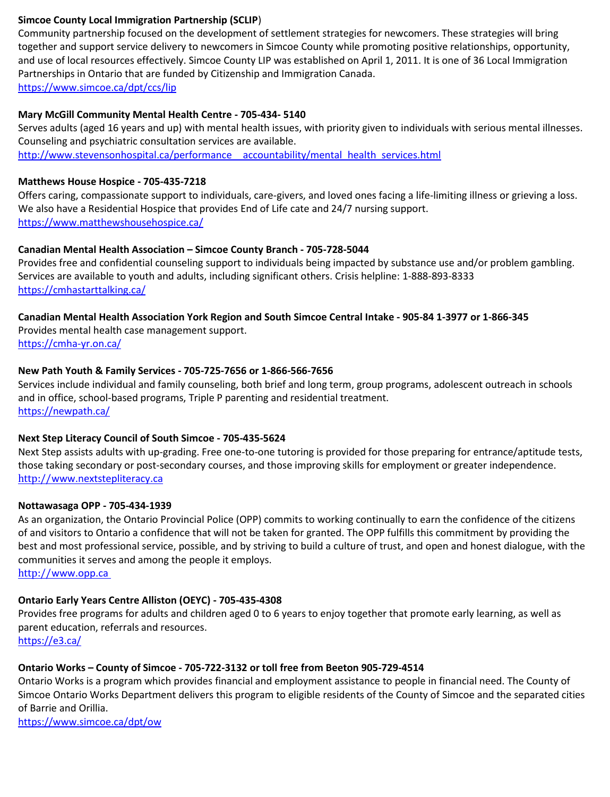#### **Simcoe County Local Immigration Partnership (SCLIP**)

Community partnership focused on the development of settlement strategies for newcomers. These strategies will bring together and support service delivery to newcomers in Simcoe County while promoting positive relationships, opportunity, and use of local resources effectively. Simcoe County LIP was established on April 1, 2011. It is one of 36 Local Immigration Partnerships in Ontario that are funded by Citizenship and Immigration Canada. <https://www.simcoe.ca/dpt/ccs/lip>

#### **Mary McGill Community Mental Health Centre - 705-434- 5140**

Serves adults (aged 16 years and up) with mental health issues, with priority given to individuals with serious mental illnesses. Counseling and psychiatric consultation services are available.

http://www.stevensonhospital.ca/performance accountability/mental health\_services.html

#### **Matthews House Hospice - 705-435-7218**

Offers caring, compassionate support to individuals, care-givers, and loved ones facing a life-limiting illness or grieving a loss. We also have a Residential Hospice that provides End of Life cate and 24/7 nursing support. <https://www.matthewshousehospice.ca/>

# **Canadian Mental Health Association – Simcoe County Branch - 705-728-5044**

Provides free and confidential counseling support to individuals being impacted by substance use and/or problem gambling. Services are available to youth and adults, including significant others. Crisis helpline: 1-888-893-8333 <https://cmhastarttalking.ca/>

# **Canadian Mental Health Association York Region and South Simcoe Central Intake - 905-84 1-3977 or 1-866-345**

Provides mental health case management support. <https://cmha-yr.on.ca/>

#### **New Path Youth & Family Services - 705-725-7656 or 1-866-566-7656**

Services include individual and family counseling, both brief and long term, group programs, adolescent outreach in schools and in office, school-based programs, Triple P parenting and residential treatment. <https://newpath.ca/>

# **Next Step Literacy Council of South Simcoe - 705-435-5624**

Next Step assists adults with up-grading. Free one-to-one tutoring is provided for those preparing for entrance/aptitude tests, those taking secondary or post-secondary courses, and those improving skills for employment or greater independence. http://[www.nextstepliteracy.ca](http://www.nextstepliteracy.ca/)

#### **Nottawasaga OPP - 705-434-1939**

As an organization, the Ontario Provincial Police (OPP) commits to working continually to earn the confidence of the citizens of and visitors to Ontario a confidence that will not be taken for granted. The OPP fulfills this commitment by providing the best and most professional service, possible, and by striving to build a culture of trust, and open and honest dialogue, with the communities it serves and among the people it employs.

http://[www.opp.ca](http://www.opp.ca/)

# **Ontario Early Years Centre Alliston (OEYC) - 705-435-4308**

Provides free programs for adults and children aged 0 to 6 years to enjoy together that promote early learning, as well as parent education, referrals and resources.

<https://e3.ca/>

# **Ontario Works – County of Simcoe - 705-722-3132 or toll free from Beeton 905-729-4514**

Ontario Works is a program which provides financial and employment assistance to people in financial need. The County of Simcoe Ontario Works Department delivers this program to eligible residents of the County of Simcoe and the separated cities of Barrie and Orillia.

<https://www.simcoe.ca/dpt/ow>